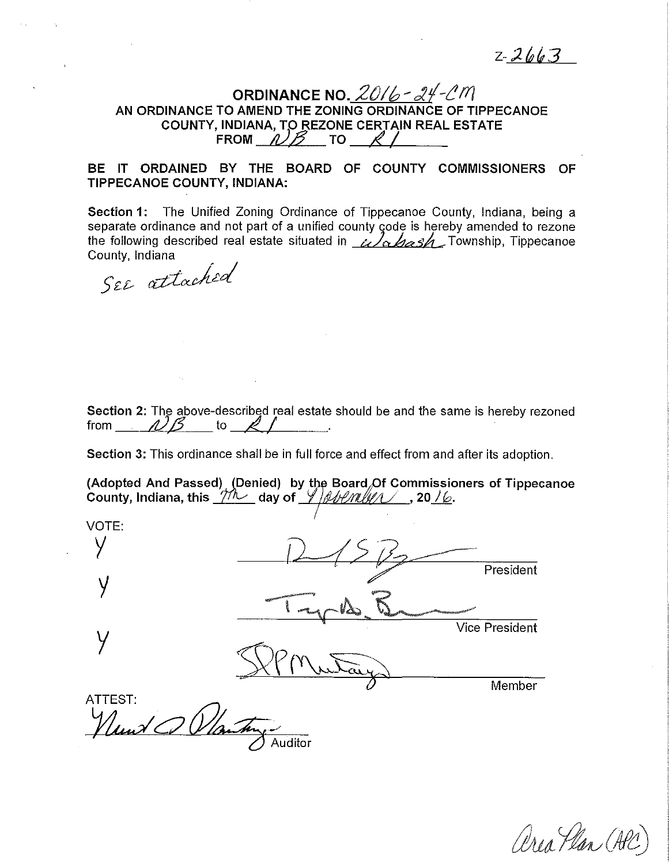$2 - 2663$ 

# ORDINANCE NO. *,20/ b* ~ *d?f-(!* ff/ AN ORDINANCE TO AMEND THE ZONING ORDINANCE OF TIPPECANOE COUNTY, INDIANA, TO REZONE CERTAIN REAL ESTATE FROM  $\mathcal{N}\mathcal{B}$  to '

# BE IT ORDAINED BY THE BOARD OF COUNTY COMMISSIONERS OF TIPPECANOE COUNTY, INDIANA:

Section 1: The Unified Zoning Ordinance of Tippecanoe County, Indiana, being a separate ordinance and not part of a unified county code is hereby amended to rezone the following described real estate situated in  $\omega$   $\Delta$   $\Delta$  Township, Tippecanoe County, Indiana

SEE attached

Section 2: The above-described real estate should be and the same is hereby rezoned from  $\triangle B$  to  $\triangle A$  .

Section 3: This ordinance shall be in full force and effect from and after its adoption.

(Adopted And Passed) (Denied) by the Board Of Commissioners of Tippecanoe County, Indiana, this  $\underline{\mathcal{TM}}$  day of  $\underline{\mathcal{MMM}}$ , 20<u>/6</u>.

VOTE: y President y y vice President<br>
y vice President Member ATTEST:<br>*Ylund OD Vlantin* 

area Plan (Ala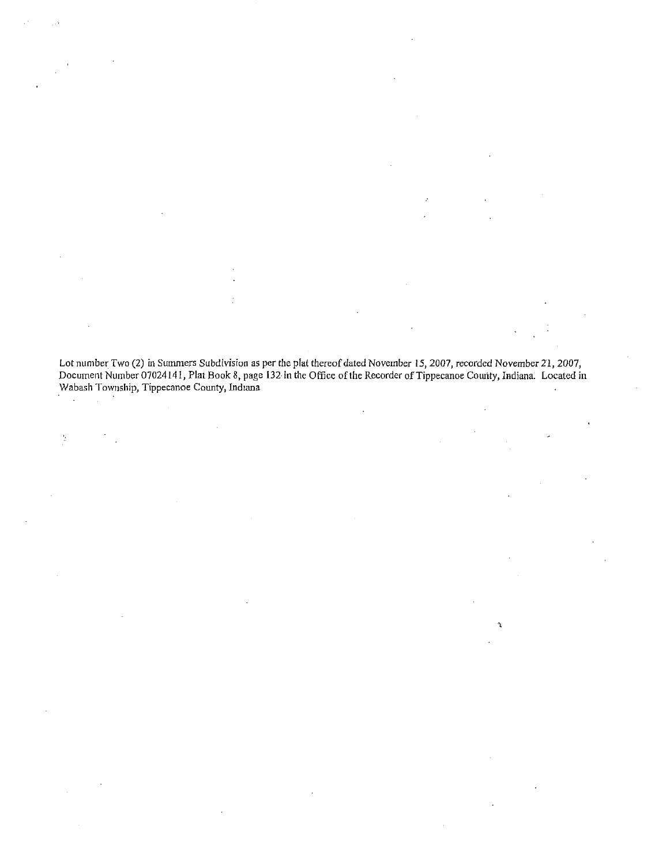Lot number Two (2) in Summers Subdivision as per the plat thereof dated November 15, 2007, recorded November 2'1, 2007, Document Number 07024141, Plat Book 8, page l32 in the Office of the Recorder of Tippecanoe County, Indiana. Located in **Wabash Township, Tippecanoe County, Indiana**  $\ddot{\phantom{0}}$ 

 $\gamma$ 

 $\frac{1}{2}$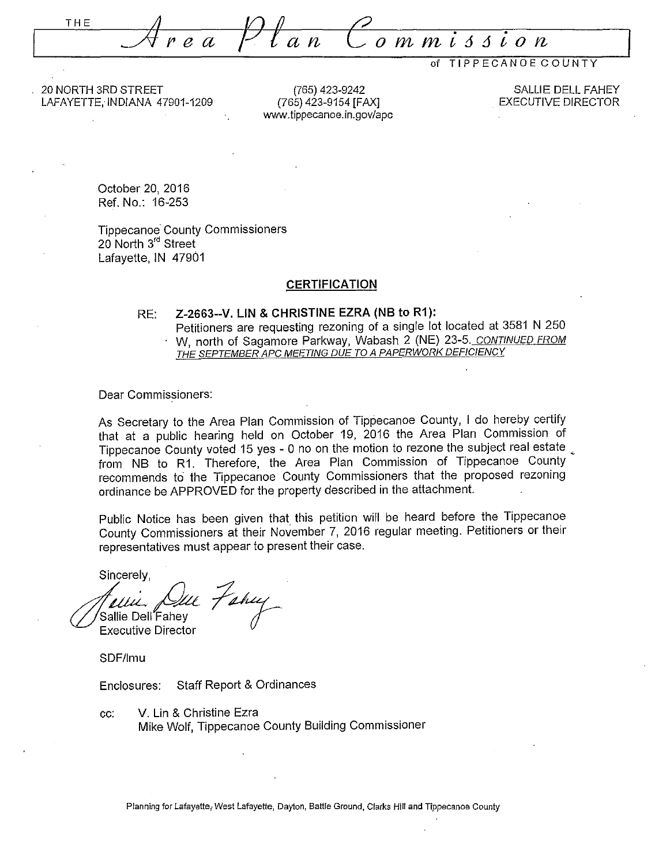THE .\_\_;4 *re a* . . **mi66ion** 

of TIPPECANOE COUNTY

20 NORTH 3RD STREET LAFAYETTE, IN DIANA 47901-1209

(765) 423-9242 (765) 423-9154 [FAX] www.tippecanoe.in.gov/apc

SALLIE DELL FAHEY EXECUTIVE DIRECTOR

October 20, 2016 Ref. No.: 16-253

Tippecanoe· County Commissioners 20 North 3<sup>rd</sup> Street Lafayette, IN 47901

## **CERTIFICATION**

### RE: **Z-2663--V. LIN & CHRISTINE EZRA (NB to R1):**  Petitioners are requesting rezoning of a single lot located at 3581 N 250 W, north of Sagamore Parkway, Wabash 2 (NE) 23-5. <u>CONTINUED FROM</u> THE SEPTEMBER APC <u>MEETING DUE TO A PAPERWORK DEFICIENCY</u>

Dear Commissioners:

As Secretary to the Area Plan Commission of Tippecanoe County, I do hereby certify that at a public hearing held on October 19, 2016 the Area Plan Commission of Tippecanoe County voted 15 yes - 0 no on the motion to rezone the subject real estate , from NB to R1. Therefore, the Area Plan Commission of Tippecanoe County recommends to the Tippecanoe County Commissioners that the proposed rezoning ordinance be APPROVED for the property described in the attachment.

Public Notice has been given that this petition will be heard before the Tippecanoe County Commissioners at their November 7, 2016 regular meeting. Petitioners or their representatives must appear to present their case.

Sincerely,<br>*fellic, Que Fahuy*<br>Sallie Dell Fahey Executive Director

SDF/lmu

Enclosures: Staff Report & Ordinances

cc: V. Lin & Christine Ezra Mike Wolf, Tippecanoe County Building Commissioner

Planning for Lafayette, West Lafayette, Dayton, Battle Ground, Clarks Hill and Tippecanoe County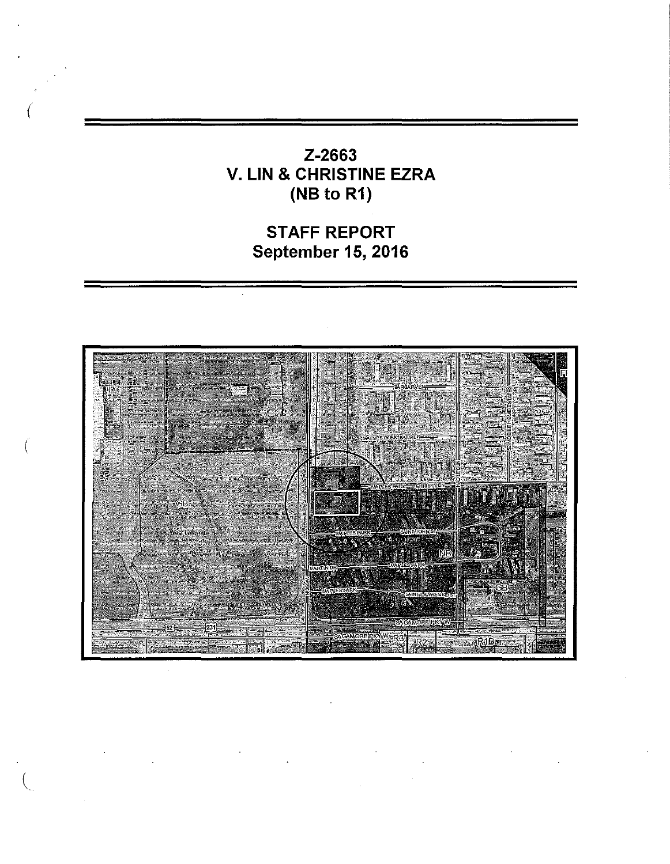Z-2663 V. LIN & CHRISTINE EZRA (NB to R1)

*(* 

(

STAFF REPORT September 15, 2016